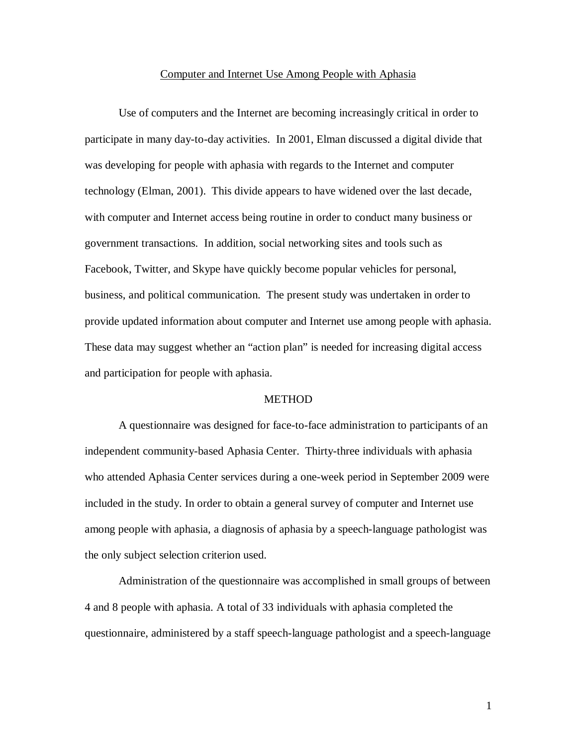### Computer and Internet Use Among People with Aphasia

Use of computers and the Internet are becoming increasingly critical in order to participate in many day-to-day activities. In 2001, Elman discussed a digital divide that was developing for people with aphasia with regards to the Internet and computer technology (Elman, 2001). This divide appears to have widened over the last decade, with computer and Internet access being routine in order to conduct many business or government transactions. In addition, social networking sites and tools such as Facebook, Twitter, and Skype have quickly become popular vehicles for personal, business, and political communication. The present study was undertaken in order to provide updated information about computer and Internet use among people with aphasia. These data may suggest whether an "action plan" is needed for increasing digital access and participation for people with aphasia.

# METHOD

A questionnaire was designed for face-to-face administration to participants of an independent community-based Aphasia Center. Thirty-three individuals with aphasia who attended Aphasia Center services during a one-week period in September 2009 were included in the study. In order to obtain a general survey of computer and Internet use among people with aphasia, a diagnosis of aphasia by a speech-language pathologist was the only subject selection criterion used.

Administration of the questionnaire was accomplished in small groups of between 4 and 8 people with aphasia. A total of 33 individuals with aphasia completed the questionnaire, administered by a staff speech-language pathologist and a speech-language

1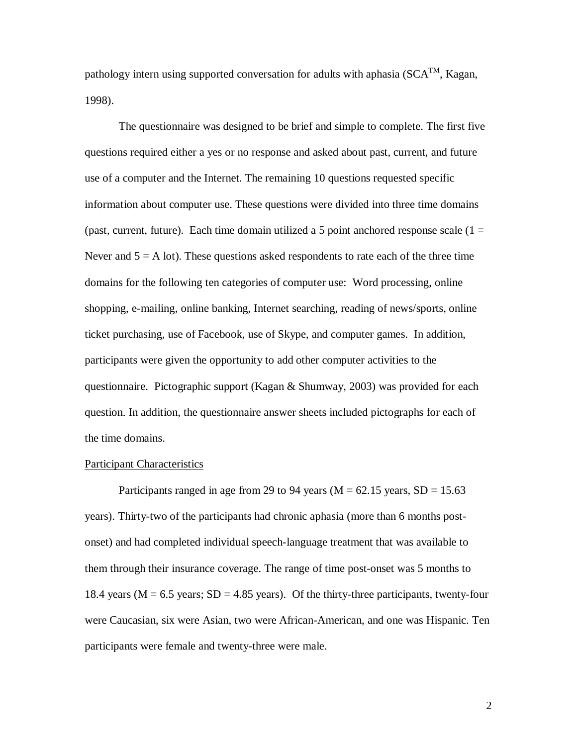pathology intern using supported conversation for adults with aphasia ( $SCA<sup>TM</sup>$ , Kagan, 1998).

The questionnaire was designed to be brief and simple to complete. The first five questions required either a yes or no response and asked about past, current, and future use of a computer and the Internet. The remaining 10 questions requested specific information about computer use. These questions were divided into three time domains (past, current, future). Each time domain utilized a 5 point anchored response scale  $(1 =$ Never and  $5 = A$  lot). These questions asked respondents to rate each of the three time domains for the following ten categories of computer use: Word processing, online shopping, e-mailing, online banking, Internet searching, reading of news/sports, online ticket purchasing, use of Facebook, use of Skype, and computer games. In addition, participants were given the opportunity to add other computer activities to the questionnaire. Pictographic support (Kagan & Shumway, 2003) was provided for each question. In addition, the questionnaire answer sheets included pictographs for each of the time domains.

### Participant Characteristics

Participants ranged in age from 29 to 94 years ( $M = 62.15$  years,  $SD = 15.63$ ) years). Thirty-two of the participants had chronic aphasia (more than 6 months postonset) and had completed individual speech-language treatment that was available to them through their insurance coverage. The range of time post-onset was 5 months to 18.4 years ( $M = 6.5$  years;  $SD = 4.85$  years). Of the thirty-three participants, twenty-four were Caucasian, six were Asian, two were African-American, and one was Hispanic. Ten participants were female and twenty-three were male.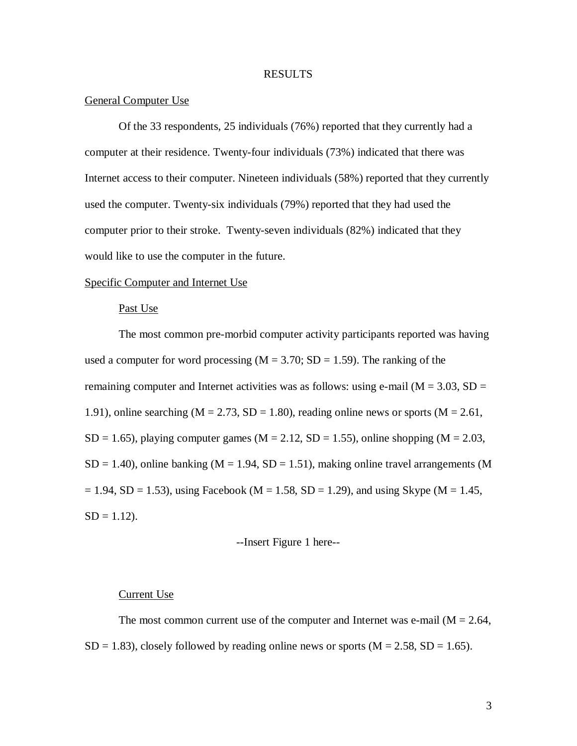# RESULTS

## General Computer Use

Of the 33 respondents, 25 individuals (76%) reported that they currently had a computer at their residence. Twenty-four individuals (73%) indicated that there was Internet access to their computer. Nineteen individuals (58%) reported that they currently used the computer. Twenty-six individuals (79%) reported that they had used the computer prior to their stroke. Twenty-seven individuals (82%) indicated that they would like to use the computer in the future.

### Specific Computer and Internet Use

## Past Use

The most common pre-morbid computer activity participants reported was having used a computer for word processing  $(M = 3.70; SD = 1.59)$ . The ranking of the remaining computer and Internet activities was as follows: using e-mail ( $M = 3.03$ , SD = 1.91), online searching ( $M = 2.73$ ,  $SD = 1.80$ ), reading online news or sports ( $M = 2.61$ ,  $SD = 1.65$ ), playing computer games (M = 2.12,  $SD = 1.55$ ), online shopping (M = 2.03,  $SD = 1.40$ ), online banking (M = 1.94, SD = 1.51), making online travel arrangements (M  $= 1.94$ , SD = 1.53), using Facebook (M = 1.58, SD = 1.29), and using Skype (M = 1.45,  $SD = 1.12$ ).

#### --Insert Figure 1 here--

### Current Use

The most common current use of the computer and Internet was e-mail  $(M = 2.64,$  $SD = 1.83$ , closely followed by reading online news or sports ( $M = 2.58$ ,  $SD = 1.65$ ).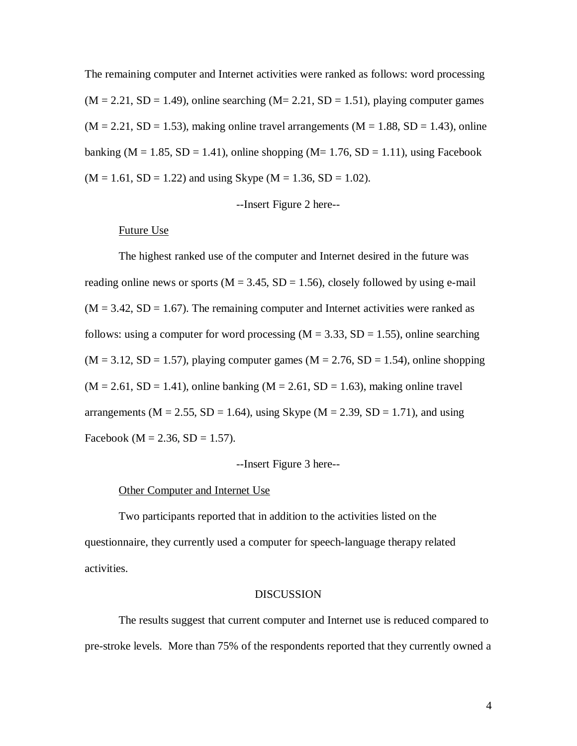The remaining computer and Internet activities were ranked as follows: word processing  $(M = 2.21, SD = 1.49)$ , online searching  $(M = 2.21, SD = 1.51)$ , playing computer games  $(M = 2.21, SD = 1.53)$ , making online travel arrangements  $(M = 1.88, SD = 1.43)$ , online banking ( $M = 1.85$ ,  $SD = 1.41$ ), online shopping ( $M = 1.76$ ,  $SD = 1.11$ ), using Facebook  $(M = 1.61, SD = 1.22)$  and using Skype  $(M = 1.36, SD = 1.02)$ .

--Insert Figure 2 here--

# Future Use

The highest ranked use of the computer and Internet desired in the future was reading online news or sports ( $M = 3.45$ ,  $SD = 1.56$ ), closely followed by using e-mail  $(M = 3.42, SD = 1.67)$ . The remaining computer and Internet activities were ranked as follows: using a computer for word processing  $(M = 3.33, SD = 1.55)$ , online searching  $(M = 3.12, SD = 1.57)$ , playing computer games  $(M = 2.76, SD = 1.54)$ , online shopping  $(M = 2.61, SD = 1.41)$ , online banking  $(M = 2.61, SD = 1.63)$ , making online travel arrangements ( $M = 2.55$ ,  $SD = 1.64$ ), using Skype ( $M = 2.39$ ,  $SD = 1.71$ ), and using Facebook ( $M = 2.36$ ,  $SD = 1.57$ ).

# --Insert Figure 3 here--

#### Other Computer and Internet Use

Two participants reported that in addition to the activities listed on the questionnaire, they currently used a computer for speech-language therapy related activities.

#### **DISCUSSION**

The results suggest that current computer and Internet use is reduced compared to pre-stroke levels. More than 75% of the respondents reported that they currently owned a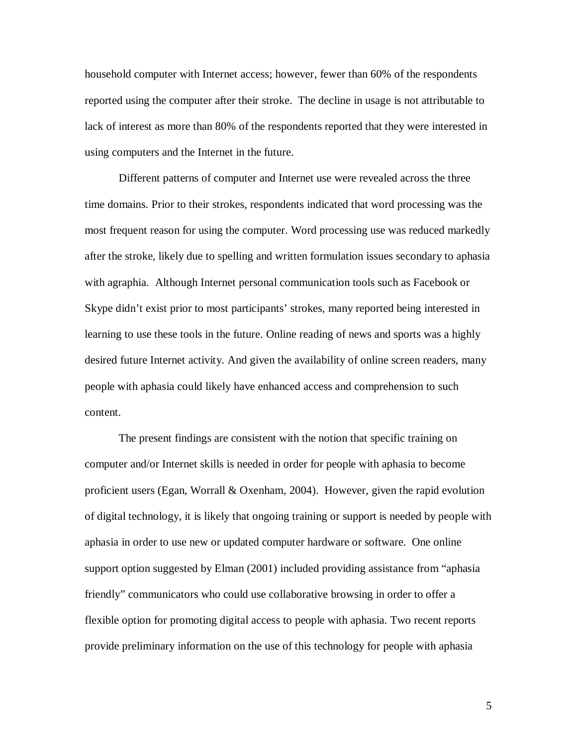household computer with Internet access; however, fewer than 60% of the respondents reported using the computer after their stroke. The decline in usage is not attributable to lack of interest as more than 80% of the respondents reported that they were interested in using computers and the Internet in the future.

Different patterns of computer and Internet use were revealed across the three time domains. Prior to their strokes, respondents indicated that word processing was the most frequent reason for using the computer. Word processing use was reduced markedly after the stroke, likely due to spelling and written formulation issues secondary to aphasia with agraphia. Although Internet personal communication tools such as Facebook or Skype didn't exist prior to most participants' strokes, many reported being interested in learning to use these tools in the future. Online reading of news and sports was a highly desired future Internet activity. And given the availability of online screen readers, many people with aphasia could likely have enhanced access and comprehension to such content.

The present findings are consistent with the notion that specific training on computer and/or Internet skills is needed in order for people with aphasia to become proficient users (Egan, Worrall & Oxenham, 2004). However, given the rapid evolution of digital technology, it is likely that ongoing training or support is needed by people with aphasia in order to use new or updated computer hardware or software. One online support option suggested by Elman (2001) included providing assistance from "aphasia friendly" communicators who could use collaborative browsing in order to offer a flexible option for promoting digital access to people with aphasia. Two recent reports provide preliminary information on the use of this technology for people with aphasia

5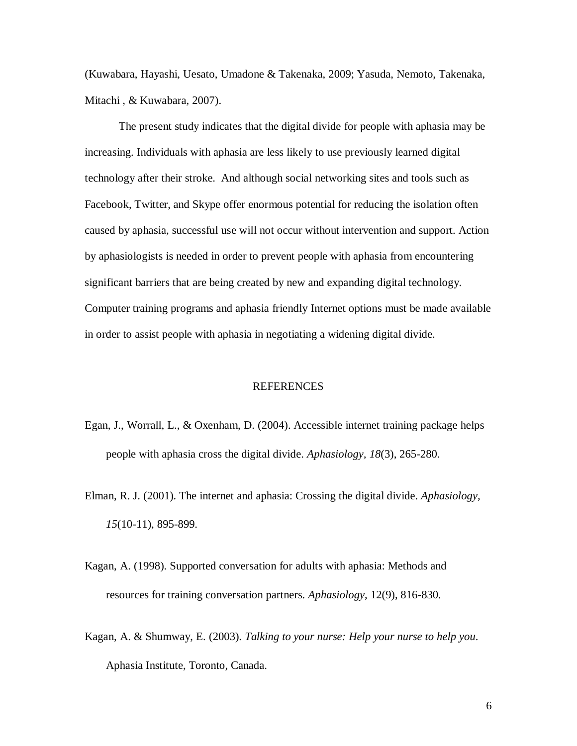(Kuwabara, Hayashi, Uesato, Umadone & Takenaka, 2009; Yasuda, Nemoto, Takenaka, Mitachi , & Kuwabara, 2007).

The present study indicates that the digital divide for people with aphasia may be increasing. Individuals with aphasia are less likely to use previously learned digital technology after their stroke. And although social networking sites and tools such as Facebook, Twitter, and Skype offer enormous potential for reducing the isolation often caused by aphasia, successful use will not occur without intervention and support. Action by aphasiologists is needed in order to prevent people with aphasia from encountering significant barriers that are being created by new and expanding digital technology. Computer training programs and aphasia friendly Internet options must be made available in order to assist people with aphasia in negotiating a widening digital divide.

## REFERENCES

- Egan, J., Worrall, L., & Oxenham, D. (2004). Accessible internet training package helps people with aphasia cross the digital divide. *Aphasiology, 18*(3), 265-280.
- Elman, R. J. (2001). The internet and aphasia: Crossing the digital divide. *Aphasiology, 15*(10-11), 895-899.
- Kagan, A. (1998). Supported conversation for adults with aphasia: Methods and resources for training conversation partners. *Aphasiology*, 12(9), 816-830.
- Kagan, A. & Shumway, E. (2003). *Talking to your nurse: Help your nurse to help you*. Aphasia Institute, Toronto, Canada.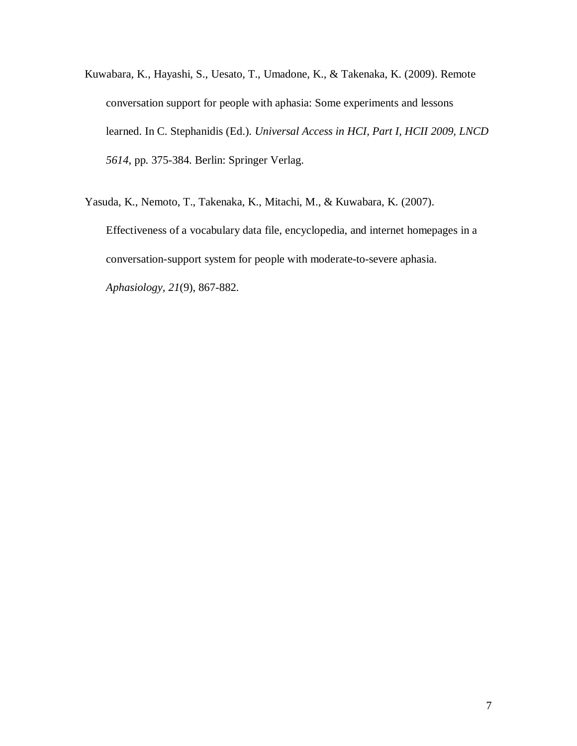- Kuwabara, K., Hayashi, S., Uesato, T., Umadone, K., & Takenaka, K. (2009). Remote conversation support for people with aphasia: Some experiments and lessons learned. In C. Stephanidis (Ed.). *Universal Access in HCI, Part I, HCII 2009, LNCD 5614*, pp. 375-384. Berlin: Springer Verlag.
- Yasuda, K., Nemoto, T., Takenaka, K., Mitachi, M., & Kuwabara, K. (2007). Effectiveness of a vocabulary data file, encyclopedia, and internet homepages in a conversation-support system for people with moderate-to-severe aphasia. *Aphasiology, 21*(9), 867-882.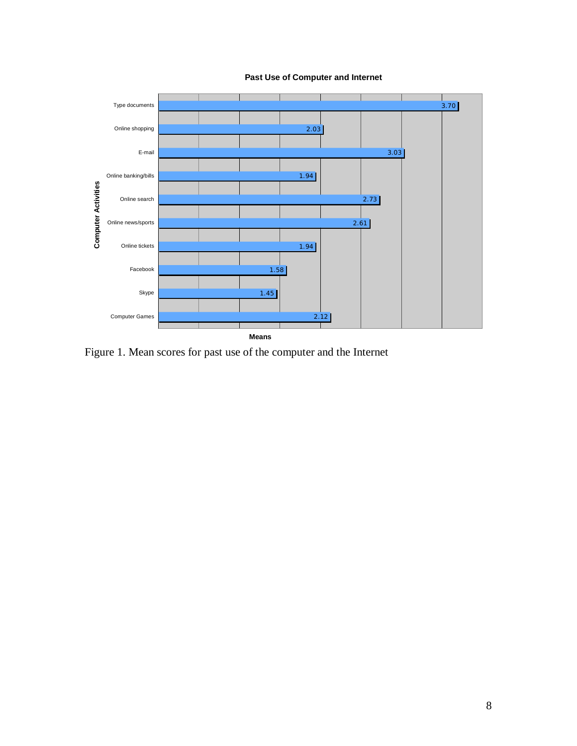

**Past Use of Computer and Internet** 

Figure 1. Mean scores for past use of the computer and the Internet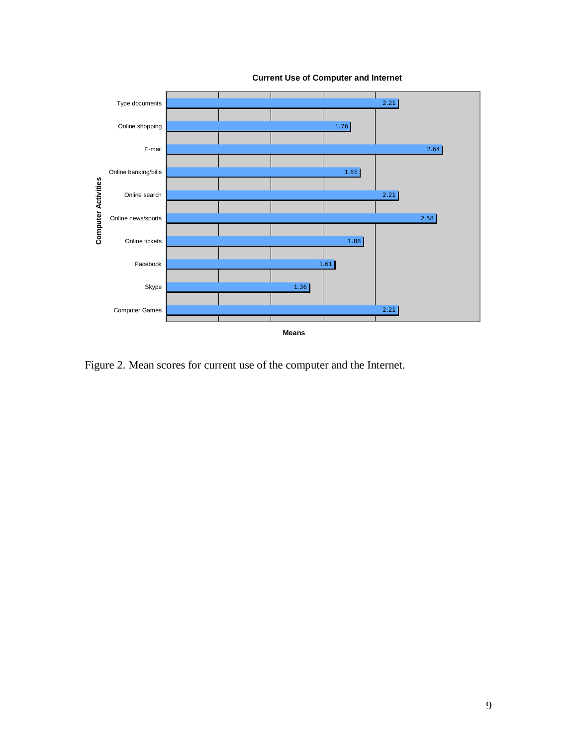

**Current Use of Computer and Internet**

Figure 2. Mean scores for current use of the computer and the Internet.